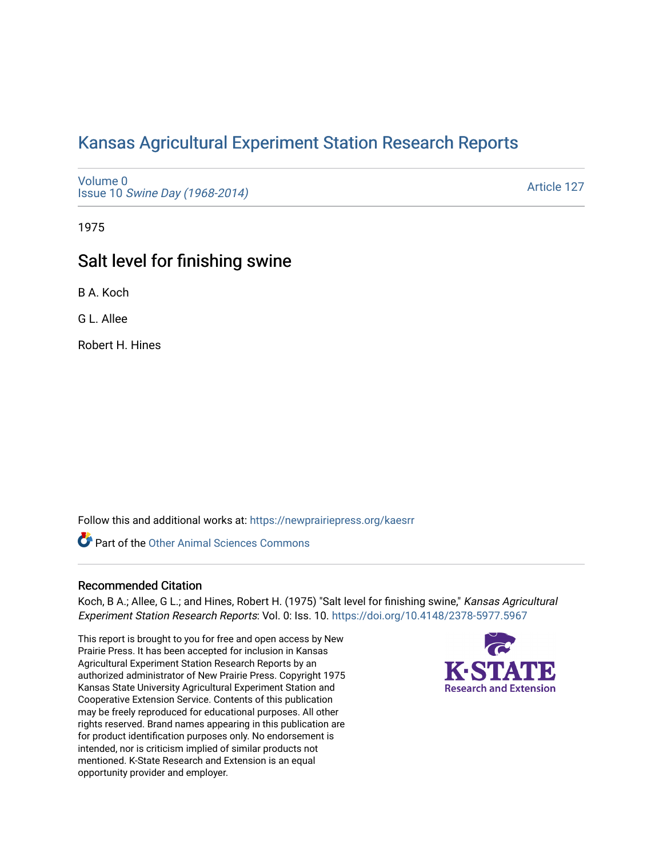# [Kansas Agricultural Experiment Station Research Reports](https://newprairiepress.org/kaesrr)

[Volume 0](https://newprairiepress.org/kaesrr/vol0) Issue 10 [Swine Day \(1968-2014\)](https://newprairiepress.org/kaesrr/vol0/iss10)

[Article 127](https://newprairiepress.org/kaesrr/vol0/iss10/127) 

1975

## Salt level for finishing swine

B A. Koch

G L. Allee

Robert H. Hines

Follow this and additional works at: [https://newprairiepress.org/kaesrr](https://newprairiepress.org/kaesrr?utm_source=newprairiepress.org%2Fkaesrr%2Fvol0%2Fiss10%2F127&utm_medium=PDF&utm_campaign=PDFCoverPages) 

**C** Part of the [Other Animal Sciences Commons](http://network.bepress.com/hgg/discipline/82?utm_source=newprairiepress.org%2Fkaesrr%2Fvol0%2Fiss10%2F127&utm_medium=PDF&utm_campaign=PDFCoverPages)

#### Recommended Citation

Koch, B A.; Allee, G L.; and Hines, Robert H. (1975) "Salt level for finishing swine," Kansas Agricultural Experiment Station Research Reports: Vol. 0: Iss. 10. <https://doi.org/10.4148/2378-5977.5967>

This report is brought to you for free and open access by New Prairie Press. It has been accepted for inclusion in Kansas Agricultural Experiment Station Research Reports by an authorized administrator of New Prairie Press. Copyright 1975 Kansas State University Agricultural Experiment Station and Cooperative Extension Service. Contents of this publication may be freely reproduced for educational purposes. All other rights reserved. Brand names appearing in this publication are for product identification purposes only. No endorsement is intended, nor is criticism implied of similar products not mentioned. K-State Research and Extension is an equal opportunity provider and employer.

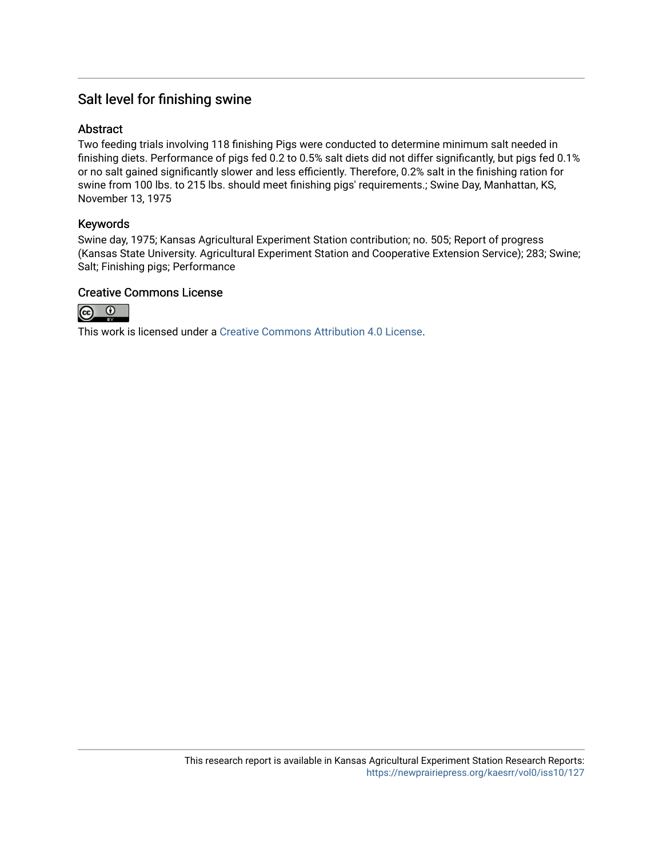## Salt level for finishing swine

### **Abstract**

Two feeding trials involving 118 finishing Pigs were conducted to determine minimum salt needed in finishing diets. Performance of pigs fed 0.2 to 0.5% salt diets did not differ significantly, but pigs fed 0.1% or no salt gained significantly slower and less efficiently. Therefore, 0.2% salt in the finishing ration for swine from 100 lbs. to 215 lbs. should meet finishing pigs' requirements.; Swine Day, Manhattan, KS, November 13, 1975

### Keywords

Swine day, 1975; Kansas Agricultural Experiment Station contribution; no. 505; Report of progress (Kansas State University. Agricultural Experiment Station and Cooperative Extension Service); 283; Swine; Salt; Finishing pigs; Performance

#### Creative Commons License



This work is licensed under a [Creative Commons Attribution 4.0 License](https://creativecommons.org/licenses/by/4.0/).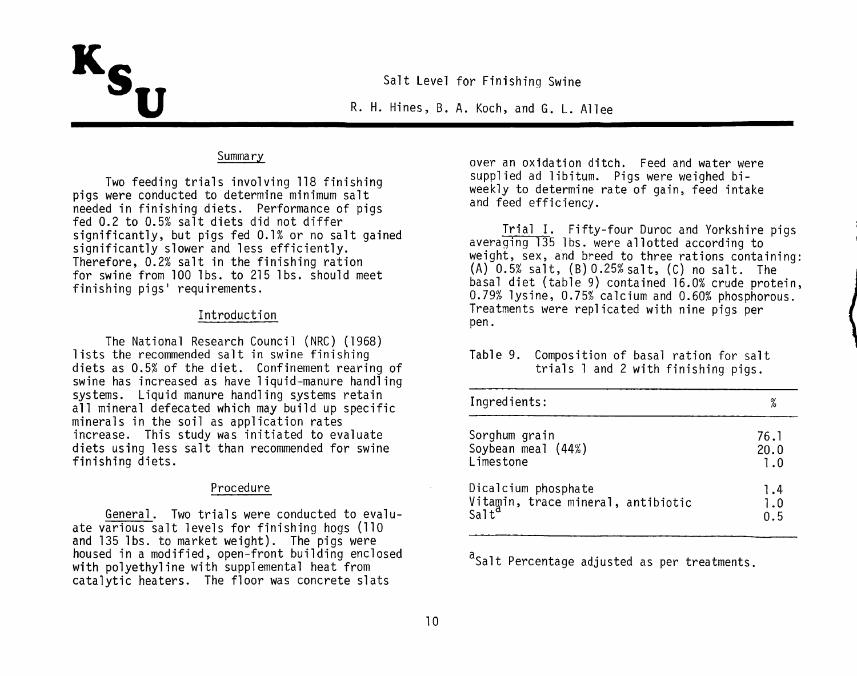Salt Level for Finishing Swine

R. H. Hines, B. A. Koch, and G. L. Allee

#### Summary

Two feeding trials involving 118 finishing pigs were conducted to determine minimum salt needed in finishing diets. Performance of pigs fed 0.2 to 0.5% salt diets did not differ significantly, but pigs fed 0.1% or no salt gained significantly slower and less efficiently. Therefore, 0.2% salt in the finishing ration for swine from 100 lbs. to 215 lbs. should meet finishing pigs' requirements.

#### Introduction

The National Research Council (NRC) (1968) lists the recommended salt in swine finishing diets as 0.5% of the diet. Confinement rearing of swine has increased as have liquid-manure handling systems. Liquid manure handling systems retain all mineral defecated which may build up specific minerals in the soil as application rates increase. This study was initiated to evaluate diets using less salt than recommended for swine finishing diets.

### Procedure

General. Two trials were conducted to evaluate various salt levels for finishing hogs (110 and 135 1bs. to market weight). The pigs were housed in a modified, open-front building enclosed with polyethyline with supplemental heat from catalytic heaters. The floor was concrete slats

over an oxidation ditch. Feed and water were supplied ad libitum. Pigs were weighed biweekly to determine rate of gain, feed intake and feed efficiency.

Trial I. Fifty-four Duroc and Yorkshire pigs averaging 135 lbs. were allotted according to weight, sex, and breed to three rations containing:  $(A)$  0.5% salt,  $(B)$  0.25% salt,  $(C)$  no salt. The basal diet (table 9) contained 16.0% crude protein. 0.79% lysine, 0.75% calcium and 0.60% phosphorous. Treatments were replicated with nine pigs per pen.

Table 9. Composition of basal ration for salt trials 1 and 2 with finishing pigs.

| Ingredients:                                                                   | %                   |
|--------------------------------------------------------------------------------|---------------------|
| Sorghum grain<br>Soybean meal (44%)<br>Limestone                               | 76.1<br>20.0<br>1.0 |
| Dicalcium phosphate<br>Vitamin, trace mineral, antibiotic<br>Salt <sup>a</sup> | 1.4<br>1.0<br>0.5   |

<sup>a</sup>Salt Percentage adjusted as per treatments.